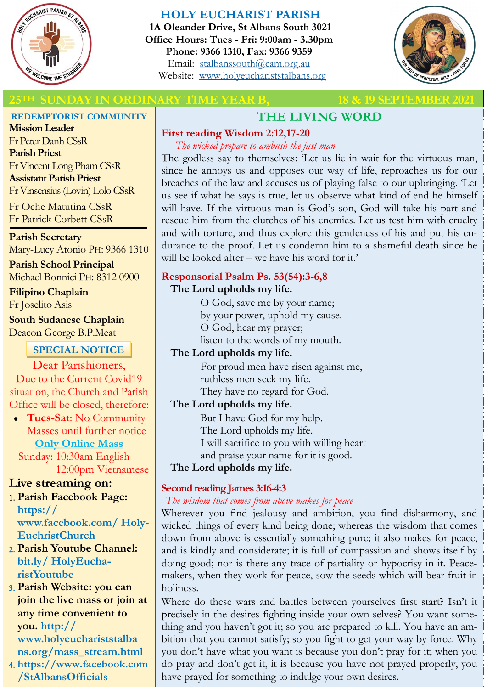

# **HOLY EUCHARIST PARISH**

**1A Oleander Drive, St Albans South 3021 Office Hours: Tues - Fri: 9:00am - 3.30pm Phone: 9366 1310, Fax: 9366 9359** Email: [stalbanssouth@cam.org.au](mailto:stalbanssouth@cam.org.au) Website:[www.holyeuchariststalbans.org](http://www.holyeuchariststalbans.org)



## **25TH SUNDAY IN ORDINARY TIME YEAR B, 18 & 19 SEPTEMBER2021**

#### **REDEMPTORIST COMMUNITY**

**Mission Leader** Fr Peter Danh CSsR **Parish Priest** Fr Vincent Long Pham CSsR **Assistant Parish Priest**  Fr Vinsensius (Lovin) Lolo CSsR

Fr Oche Matutina CSsR Fr Patrick Corbett CSsR

**Parish Secretary** Mary-Lucy Atonio PH: 9366 1310

**Parish School Principal** Michael Bonnici PH: 8312 0900

**Filipino Chaplain** Fr Joselito Asis

**South Sudanese Chaplain** Deacon George B.P.Meat

# **SPECIAL NOTICE**

Dear Parishioners, Due to the Current Covid19 situation, the Church and Parish Office will be closed, therefore:

 **Tues-Sat**: No Community Masses until further notice **Only Online Mass** 

 Sunday: 10:30am English 12:00pm Vietnamese

# **Live streaming on:**

- **Parish Facebook Page: https:// www.facebook.com/ Holy-EuchristChurch**
- **Parish Youtube Channel: bit.ly/ HolyEucharistYoutube**

 **Parish Website: you can join the live mass or join at any time convenient to you. http:// www.holyeuchariststalba ns.org/mass\_stream.html**

 **https://www.facebook.com /StAlbansOfficials** 

# **THE LIVING WORD**

#### **First reading Wisdom 2:12,17-20**

*The wicked prepare to ambush the just man*

The godless say to themselves: 'Let us lie in wait for the virtuous man, since he annoys us and opposes our way of life, reproaches us for our breaches of the law and accuses us of playing false to our upbringing. 'Let us see if what he says is true, let us observe what kind of end he himself will have. If the virtuous man is God's son, God will take his part and rescue him from the clutches of his enemies. Let us test him with cruelty and with torture, and thus explore this gentleness of his and put his endurance to the proof. Let us condemn him to a shameful death since he will be looked after – we have his word for it.'

# **Responsorial Psalm Ps. 53(54):3-6,8**

# **The Lord upholds my life.**

O God, save me by your name;

by your power, uphold my cause.

O God, hear my prayer;

listen to the words of my mouth.

# **The Lord upholds my life.**

For proud men have risen against me, ruthless men seek my life.

They have no regard for God.

# **The Lord upholds my life.**

But I have God for my help. The Lord upholds my life. I will sacrifice to you with willing heart

and praise your name for it is good.

**The Lord upholds my life.**

# **Second reading James 3:16-4:3**

### *The wisdom that comes from above makes for peace*

Wherever you find jealousy and ambition, you find disharmony, and wicked things of every kind being done; whereas the wisdom that comes down from above is essentially something pure; it also makes for peace, and is kindly and considerate; it is full of compassion and shows itself by doing good; nor is there any trace of partiality or hypocrisy in it. Peacemakers, when they work for peace, sow the seeds which will bear fruit in holiness.

Where do these wars and battles between yourselves first start? Isn't it precisely in the desires fighting inside your own selves? You want something and you haven't got it; so you are prepared to kill. You have an ambition that you cannot satisfy; so you fight to get your way by force. Why you don't have what you want is because you don't pray for it; when you do pray and don't get it, it is because you have not prayed properly, you have prayed for something to indulge your own desires.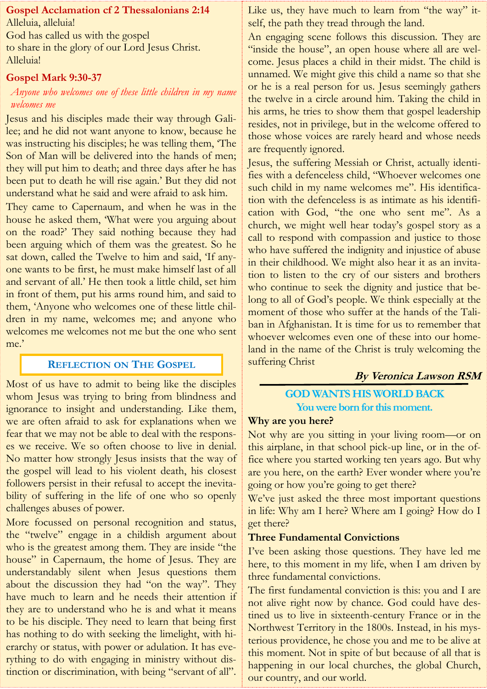# **Gospel Acclamation cf 2 Thessalonians 2:14** Alleluia, alleluia! God has called us with the gospel to share in the glory of our Lord Jesus Christ.

#### **Gospel Mark 9:30-37**

Alleluia!

### *Anyone who welcomes one of these little children in my name welcomes me*

Jesus and his disciples made their way through Galilee; and he did not want anyone to know, because he was instructing his disciples; he was telling them, 'The Son of Man will be delivered into the hands of men; they will put him to death; and three days after he has been put to death he will rise again.' But they did not understand what he said and were afraid to ask him.

They came to Capernaum, and when he was in the house he asked them, 'What were you arguing about on the road?' They said nothing because they had been arguing which of them was the greatest. So he sat down, called the Twelve to him and said, 'If anyone wants to be first, he must make himself last of all and servant of all.' He then took a little child, set him in front of them, put his arms round him, and said to them, 'Anyone who welcomes one of these little children in my name, welcomes me; and anyone who welcomes me welcomes not me but the one who sent me.'

#### **REFLECTION ON THE GOSPEL**

Most of us have to admit to being like the disciples whom Jesus was trying to bring from blindness and ignorance to insight and understanding. Like them, we are often afraid to ask for explanations when we fear that we may not be able to deal with the responses we receive. We so often choose to live in denial. No matter how strongly Jesus insists that the way of the gospel will lead to his violent death, his closest followers persist in their refusal to accept the inevitability of suffering in the life of one who so openly challenges abuses of power.

More focussed on personal recognition and status, the "twelve" engage in a childish argument about who is the greatest among them. They are inside "the house" in Capernaum, the home of Jesus. They are understandably silent when Jesus questions them about the discussion they had "on the way". They have much to learn and he needs their attention if they are to understand who he is and what it means to be his disciple. They need to learn that being first has nothing to do with seeking the limelight, with hierarchy or status, with power or adulation. It has everything to do with engaging in ministry without distinction or discrimination, with being "servant of all".

Like us, they have much to learn from "the way" itself, the path they tread through the land.

An engaging scene follows this discussion. They are "inside the house", an open house where all are welcome. Jesus places a child in their midst. The child is unnamed. We might give this child a name so that she or he is a real person for us. Jesus seemingly gathers the twelve in a circle around him. Taking the child in his arms, he tries to show them that gospel leadership resides, not in privilege, but in the welcome offered to those whose voices are rarely heard and whose needs are frequently ignored.

Jesus, the suffering Messiah or Christ, actually identifies with a defenceless child, "Whoever welcomes one such child in my name welcomes me". His identification with the defenceless is as intimate as his identification with God, "the one who sent me". As a church, we might well hear today's gospel story as a call to respond with compassion and justice to those who have suffered the indignity and injustice of abuse in their childhood. We might also hear it as an invitation to listen to the cry of our sisters and brothers who continue to seek the dignity and justice that belong to all of God's people. We think especially at the moment of those who suffer at the hands of the Taliban in Afghanistan. It is time for us to remember that whoever welcomes even one of these into our homeland in the name of the Christ is truly welcoming the suffering Christ

### **By Veronica Lawson RSM**

### **GOD WANTS HIS WORLD BACK You were born for this moment.**

#### **Why are you here?**

Not why are you sitting in your living room—or on this airplane, in that school pick-up line, or in the office where you started working ten years ago. But why are you here, on the earth? Ever wonder where you're going or how you're going to get there?

We've just asked the three most important questions in life: Why am I here? Where am I going? How do I get there?

#### **Three Fundamental Convictions**

I've been asking those questions. They have led me here, to this moment in my life, when I am driven by three fundamental convictions.

The first fundamental conviction is this: you and I are not alive right now by chance. God could have destined us to live in sixteenth-century France or in the Northwest Territory in the 1800s. Instead, in his mysterious providence, he chose you and me to be alive at this moment. Not in spite of but because of all that is happening in our local churches, the global Church, our country, and our world.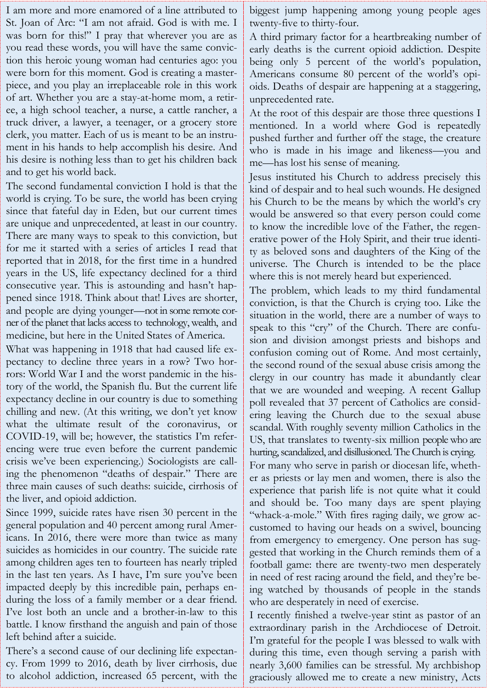I am more and more enamored of a line attributed to St. Joan of Arc: "I am not afraid. God is with me. I was born for this!" I pray that wherever you are as you read these words, you will have the same conviction this heroic young woman had centuries ago: you were born for this moment. God is creating a masterpiece, and you play an irreplaceable role in this work of art. Whether you are a stay-at-home mom, a retiree, a high school teacher, a nurse, a cattle rancher, a truck driver, a lawyer, a teenager, or a grocery store clerk, you matter. Each of us is meant to be an instrument in his hands to help accomplish his desire. And his desire is nothing less than to get his children back and to get his world back.

The second fundamental conviction I hold is that the world is crying. To be sure, the world has been crying since that fateful day in Eden, but our current times are unique and unprecedented, at least in our country. There are many ways to speak to this conviction, but for me it started with a series of articles I read that reported that in 2018, for the first time in a hundred years in the US, life expectancy declined for a third consecutive year. This is astounding and hasn't happened since 1918. Think about that! Lives are shorter, and people are dying younger—not in some remote corner of the planet that lacks access to technology, wealth, and medicine, but here in the United States of America.

What was happening in 1918 that had caused life expectancy to decline three years in a row? Two horrors: World War I and the worst pandemic in the history of the world, the Spanish flu. But the current life expectancy decline in our country is due to something chilling and new. (At this writing, we don't yet know what the ultimate result of the coronavirus, or COVID-19, will be; however, the statistics I'm referencing were true even before the current pandemic crisis we've been experiencing.) Sociologists are calling the phenomenon "deaths of despair." There are three main causes of such deaths: suicide, cirrhosis of the liver, and opioid addiction.

Since 1999, suicide rates have risen 30 percent in the general population and 40 percent among rural Americans. In 2016, there were more than twice as many suicides as homicides in our country. The suicide rate among children ages ten to fourteen has nearly tripled in the last ten years. As I have, I'm sure you've been impacted deeply by this incredible pain, perhaps enduring the loss of a family member or a dear friend. I've lost both an uncle and a brother-in-law to this battle. I know firsthand the anguish and pain of those left behind after a suicide.

There's a second cause of our declining life expectancy. From 1999 to 2016, death by liver cirrhosis, due to alcohol addiction, increased 65 percent, with the

biggest jump happening among young people ages twenty-five to thirty-four.

A third primary factor for a heartbreaking number of early deaths is the current opioid addiction. Despite being only 5 percent of the world's population, Americans consume 80 percent of the world's opioids. Deaths of despair are happening at a staggering, unprecedented rate.

At the root of this despair are those three questions I mentioned. In a world where God is repeatedly pushed further and further off the stage, the creature who is made in his image and likeness—you and me—has lost his sense of meaning.

Jesus instituted his Church to address precisely this kind of despair and to heal such wounds. He designed his Church to be the means by which the world's cry would be answered so that every person could come to know the incredible love of the Father, the regenerative power of the Holy Spirit, and their true identity as beloved sons and daughters of the King of the universe. The Church is intended to be the place where this is not merely heard but experienced.

The problem, which leads to my third fundamental conviction, is that the Church is crying too. Like the situation in the world, there are a number of ways to speak to this "cry" of the Church. There are confusion and division amongst priests and bishops and confusion coming out of Rome. And most certainly, the second round of the sexual abuse crisis among the clergy in our country has made it abundantly clear that we are wounded and weeping. A recent Gallup poll revealed that 37 percent of Catholics are considering leaving the Church due to the sexual abuse scandal. With roughly seventy million Catholics in the US, that translates to twenty-six million people who are hurting, scandalized, and disillusioned. The Church is crying. For many who serve in parish or diocesan life, whether as priests or lay men and women, there is also the experience that parish life is not quite what it could and should be. Too many days are spent playing "whack-a-mole." With fires raging daily, we grow accustomed to having our heads on a swivel, bouncing from emergency to emergency. One person has suggested that working in the Church reminds them of a football game: there are twenty-two men desperately in need of rest racing around the field, and they're being watched by thousands of people in the stands who are desperately in need of exercise.

I recently finished a twelve-year stint as pastor of an extraordinary parish in the Archdiocese of Detroit. I'm grateful for the people I was blessed to walk with during this time, even though serving a parish with nearly 3,600 families can be stressful. My archbishop graciously allowed me to create a new ministry, Acts